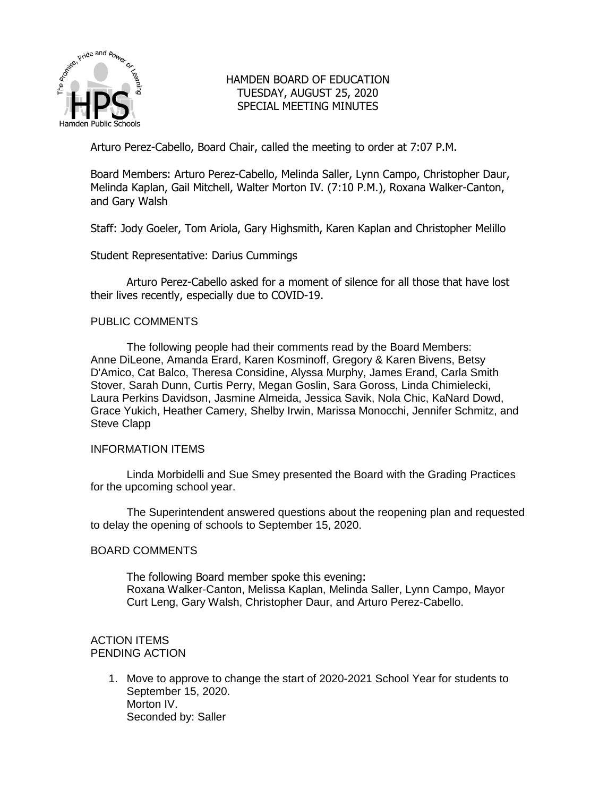

# HAMDEN BOARD OF EDUCATION TUESDAY, AUGUST 25, 2020 SPECIAL MEETING MINUTES

Arturo Perez-Cabello, Board Chair, called the meeting to order at 7:07 P.M.

Board Members: Arturo Perez-Cabello, Melinda Saller, Lynn Campo, Christopher Daur, Melinda Kaplan, Gail Mitchell, Walter Morton IV. (7:10 P.M.), Roxana Walker-Canton, and Gary Walsh

Staff: Jody Goeler, Tom Ariola, Gary Highsmith, Karen Kaplan and Christopher Melillo

Student Representative: Darius Cummings

Arturo Perez-Cabello asked for a moment of silence for all those that have lost their lives recently, especially due to COVID-19.

### PUBLIC COMMENTS

The following people had their comments read by the Board Members: Anne DiLeone, Amanda Erard, Karen Kosminoff, Gregory & Karen Bivens, Betsy D'Amico, Cat Balco, Theresa Considine, Alyssa Murphy, James Erand, Carla Smith Stover, Sarah Dunn, Curtis Perry, Megan Goslin, Sara Goross, Linda Chimielecki, Laura Perkins Davidson, Jasmine Almeida, Jessica Savik, Nola Chic, KaNard Dowd, Grace Yukich, Heather Camery, Shelby Irwin, Marissa Monocchi, Jennifer Schmitz, and Steve Clapp

#### INFORMATION ITEMS

Linda Morbidelli and Sue Smey presented the Board with the Grading Practices for the upcoming school year.

The Superintendent answered questions about the reopening plan and requested to delay the opening of schools to September 15, 2020.

#### BOARD COMMENTS

The following Board member spoke this evening: Roxana Walker-Canton, Melissa Kaplan, Melinda Saller, Lynn Campo, Mayor Curt Leng, Gary Walsh, Christopher Daur, and Arturo Perez-Cabello.

### ACTION ITEMS PENDING ACTION

1. Move to approve to change the start of 2020-2021 School Year for students to September 15, 2020. Morton IV. Seconded by: Saller